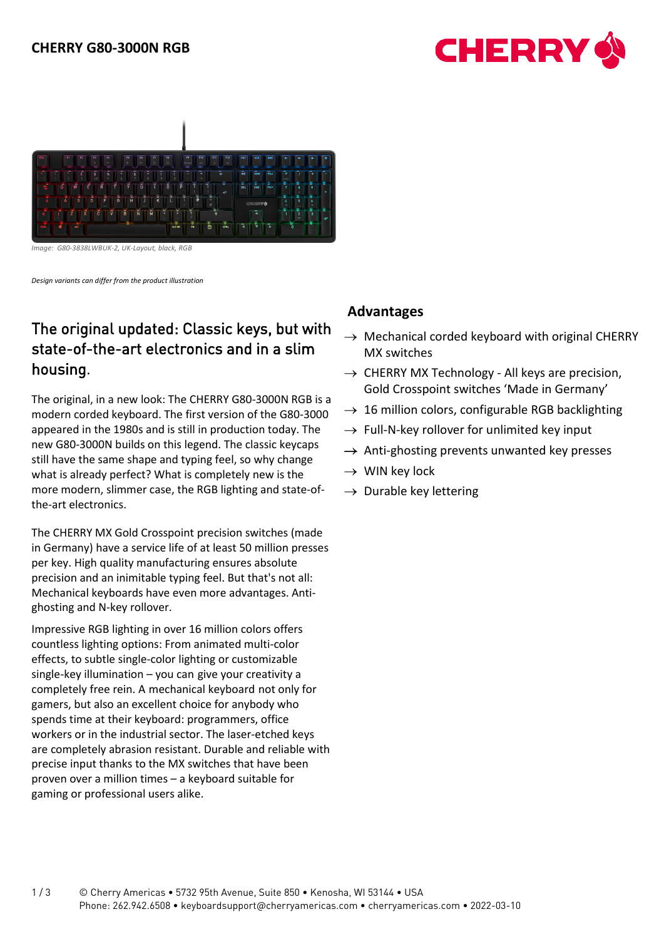



*Image: G80-3838LWBUK-2, UK-Layout, black, RGB*

*Design variants can differ from the product illustration*

# The original updated: Classic keys, but with state-of-the-art electronics and in a slim housing.

The original, in a new look: The CHERRY G80-3000N RGB is a modern corded keyboard. The first version of the G80-3000 appeared in the 1980s and is still in production today. The new G80-3000N builds on this legend. The classic keycaps still have the same shape and typing feel, so why change what is already perfect? What is completely new is the more modern, slimmer case, the RGB lighting and state-ofthe-art electronics.

The CHERRY MX Gold Crosspoint precision switches (made in Germany) have a service life of at least 50 million presses per key. High quality manufacturing ensures absolute precision and an inimitable typing feel. But that's not all: Mechanical keyboards have even more advantages. Antighosting and N-key rollover.

Impressive RGB lighting in over 16 million colors offers countless lighting options: From animated multi-color effects, to subtle single-color lighting or customizable single-key illumination – you can give your creativity a completely free rein. A mechanical keyboard not only for gamers, but also an excellent choice for anybody who spends time at their keyboard: programmers, office workers or in the industrial sector. The laser-etched keys are completely abrasion resistant. Durable and reliable with precise input thanks to the MX switches that have been proven over a million times – a keyboard suitable for gaming or professional users alike.

## **Advantages**

- $\rightarrow$  Mechanical corded keyboard with original CHERRY MX switches
- $\rightarrow$  CHERRY MX Technology All keys are precision, Gold Crosspoint switches 'Made in Germany'
- $\rightarrow$  16 million colors, configurable RGB backlighting
- $\rightarrow$  Full-N-key rollover for unlimited key input
- $\rightarrow$  Anti-ghosting prevents unwanted key presses
- $\rightarrow$  WIN key lock
- $\rightarrow$  Durable key lettering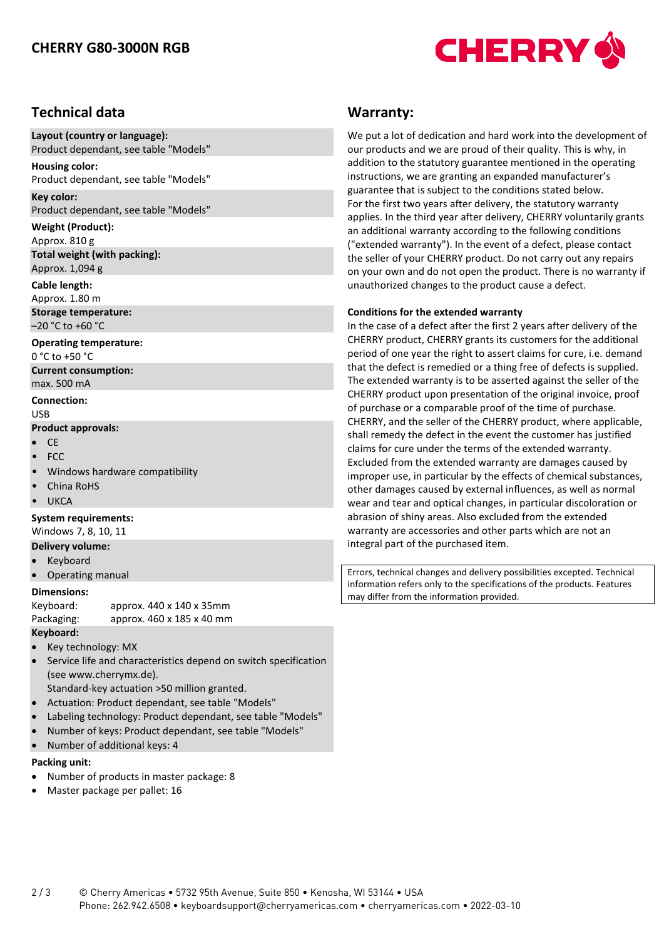

## **Technical data**

#### **Layout (country or language):** Product dependant, see table "Models"

**Housing color:**  Product dependant, see table "Models"

#### **Key color:**

Product dependant, see table "Models"

#### **Weight (Product):**

Approx. 810 g **Total weight (with packing):** Approx. 1,094 g

#### **Cable length:**

Approx. 1.80 m **Storage temperature:**  –20 °C to +60 °C

#### **Operating temperature:**

0 °C to +50 °C **Current consumption:**  max. 500 mA

#### **Connection:**

#### USB

### **Product approvals:**

- CE
- FCC
- Windows hardware compatibility
- China RoHS
- **UKCA**

#### **System requirements:**

Windows 7, 8, 10, 11

- **Delivery volume:**
- **Keyboard**
- Operating manual

#### **Dimensions:**

Keyboard: approx. 440 x 140 x 35mm Packaging: approx. 460 x 185 x 40 mm

#### **Keyboard:**

- Key technology: MX
- Service life and characteristics depend on switch specification (see www.cherrymx.de).
- Standard-key actuation >50 million granted.
- Actuation: Product dependant, see table "Models"
- Labeling technology: Product dependant, see table "Models"
- Number of keys: Product dependant, see table "Models"
- Number of additional keys: 4

#### **Packing unit:**

- Number of products in master package: 8
- Master package per pallet: 16

## **Warranty:**

We put a lot of dedication and hard work into the development of our products and we are proud of their quality. This is why, in addition to the statutory guarantee mentioned in the operating instructions, we are granting an expanded manufacturer's guarantee that is subject to the conditions stated below. For the first two years after delivery, the statutory warranty applies. In the third year after delivery, CHERRY voluntarily grants an additional warranty according to the following conditions ("extended warranty"). In the event of a defect, please contact the seller of your CHERRY product. Do not carry out any repairs on your own and do not open the product. There is no warranty if unauthorized changes to the product cause a defect.

#### **Conditions for the extended warranty**

In the case of a defect after the first 2 years after delivery of the CHERRY product, CHERRY grants its customers for the additional period of one year the right to assert claims for cure, i.e. demand that the defect is remedied or a thing free of defects is supplied. The extended warranty is to be asserted against the seller of the CHERRY product upon presentation of the original invoice, proof of purchase or a comparable proof of the time of purchase. CHERRY, and the seller of the CHERRY product, where applicable, shall remedy the defect in the event the customer has justified claims for cure under the terms of the extended warranty. Excluded from the extended warranty are damages caused by improper use, in particular by the effects of chemical substances, other damages caused by external influences, as well as normal wear and tear and optical changes, in particular discoloration or abrasion of shiny areas. Also excluded from the extended warranty are accessories and other parts which are not an integral part of the purchased item.

Errors, technical changes and delivery possibilities excepted. Technical information refers only to the specifications of the products. Features may differ from the information provided.